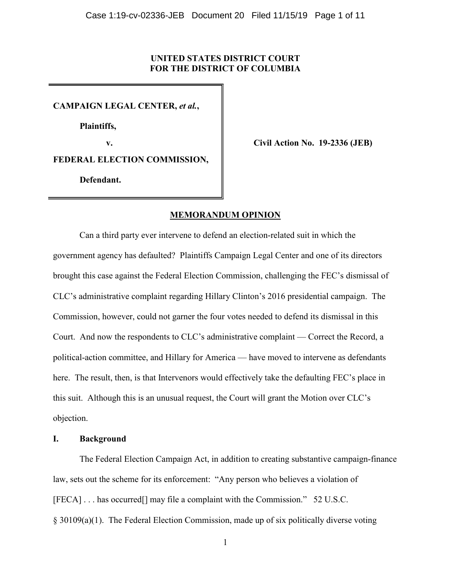## **UNITED STATES DISTRICT COURT FOR THE DISTRICT OF COLUMBIA**

**CAMPAIGN LEGAL CENTER,** *et al.***,**

**Plaintiffs,**

**v. Civil Action No. 19-2336 (JEB)**

**FEDERAL ELECTION COMMISSION,**

 **Defendant.**

# **MEMORANDUM OPINION**

Can a third party ever intervene to defend an election-related suit in which the government agency has defaulted? Plaintiffs Campaign Legal Center and one of its directors brought this case against the Federal Election Commission, challenging the FEC's dismissal of CLC's administrative complaint regarding Hillary Clinton's 2016 presidential campaign. The Commission, however, could not garner the four votes needed to defend its dismissal in this Court. And now the respondents to CLC's administrative complaint — Correct the Record, a political-action committee, and Hillary for America — have moved to intervene as defendants here. The result, then, is that Intervenors would effectively take the defaulting FEC's place in this suit. Although this is an unusual request, the Court will grant the Motion over CLC's objection.

## **I. Background**

The Federal Election Campaign Act, in addition to creating substantive campaign-finance law, sets out the scheme for its enforcement: "Any person who believes a violation of [FECA] . . . has occurred[] may file a complaint with the Commission." 52 U.S.C. § 30109(a)(1). The Federal Election Commission, made up of six politically diverse voting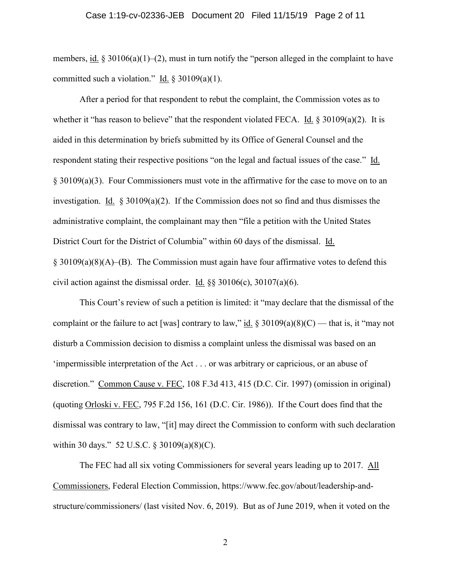## Case 1:19-cv-02336-JEB Document 20 Filed 11/15/19 Page 2 of 11

members, <u>id.</u> § 30106(a)(1)–(2), must in turn notify the "person alleged in the complaint to have committed such a violation." Id.  $\S 30109(a)(1)$ .

After a period for that respondent to rebut the complaint, the Commission votes as to whether it "has reason to believe" that the respondent violated FECA. Id.  $\S 30109(a)(2)$ . It is aided in this determination by briefs submitted by its Office of General Counsel and the respondent stating their respective positions "on the legal and factual issues of the case." Id. § 30109(a)(3). Four Commissioners must vote in the affirmative for the case to move on to an investigation. Id. § 30109(a)(2). If the Commission does not so find and thus dismisses the administrative complaint, the complainant may then "file a petition with the United States District Court for the District of Columbia" within 60 days of the dismissal. Id. § 30109(a)(8)(A)–(B). The Commission must again have four affirmative votes to defend this civil action against the dismissal order. Id.  $\S$ § 30106(c), 30107(a)(6).

This Court's review of such a petition is limited: it "may declare that the dismissal of the complaint or the failure to act [was] contrary to law," id.  $\S 30109(a)(8)(C)$  — that is, it "may not disturb a Commission decision to dismiss a complaint unless the dismissal was based on an 'impermissible interpretation of the Act . . . or was arbitrary or capricious, or an abuse of discretion." Common Cause v. FEC, 108 F.3d 413, 415 (D.C. Cir. 1997) (omission in original) (quoting Orloski v. FEC, 795 F.2d 156, 161 (D.C. Cir. 1986)). If the Court does find that the dismissal was contrary to law, "[it] may direct the Commission to conform with such declaration within 30 days." 52 U.S.C. § 30109(a)(8)(C).

The FEC had all six voting Commissioners for several years leading up to 2017. All Commissioners, Federal Election Commission, https://www.fec.gov/about/leadership-andstructure/commissioners/ (last visited Nov. 6, 2019). But as of June 2019, when it voted on the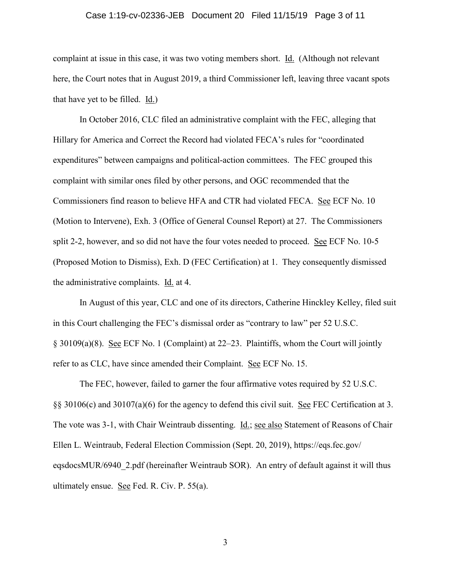#### Case 1:19-cv-02336-JEB Document 20 Filed 11/15/19 Page 3 of 11

complaint at issue in this case, it was two voting members short. Id. (Although not relevant here, the Court notes that in August 2019, a third Commissioner left, leaving three vacant spots that have yet to be filled. Id.)

In October 2016, CLC filed an administrative complaint with the FEC, alleging that Hillary for America and Correct the Record had violated FECA's rules for "coordinated expenditures" between campaigns and political-action committees. The FEC grouped this complaint with similar ones filed by other persons, and OGC recommended that the Commissioners find reason to believe HFA and CTR had violated FECA. See ECF No. 10 (Motion to Intervene), Exh. 3 (Office of General Counsel Report) at 27. The Commissioners split 2-2, however, and so did not have the four votes needed to proceed. See ECF No. 10-5 (Proposed Motion to Dismiss), Exh. D (FEC Certification) at 1. They consequently dismissed the administrative complaints. Id. at 4.

In August of this year, CLC and one of its directors, Catherine Hinckley Kelley, filed suit in this Court challenging the FEC's dismissal order as "contrary to law" per 52 U.S.C. § 30109(a)(8). See ECF No. 1 (Complaint) at 22–23. Plaintiffs, whom the Court will jointly refer to as CLC, have since amended their Complaint. See ECF No. 15.

The FEC, however, failed to garner the four affirmative votes required by 52 U.S.C. §§ 30106(c) and 30107(a)(6) for the agency to defend this civil suit. See FEC Certification at 3. The vote was 3-1, with Chair Weintraub dissenting. Id.; see also Statement of Reasons of Chair Ellen L. Weintraub, Federal Election Commission (Sept. 20, 2019), https://eqs.fec.gov/ eqsdocsMUR/6940\_2.pdf (hereinafter Weintraub SOR). An entry of default against it will thus ultimately ensue. See Fed. R. Civ. P. 55(a).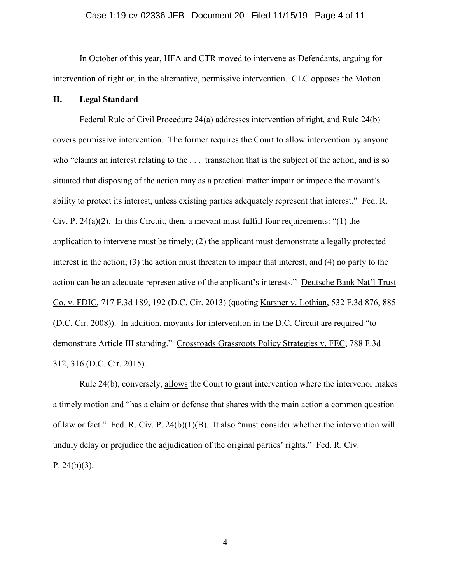### Case 1:19-cv-02336-JEB Document 20 Filed 11/15/19 Page 4 of 11

In October of this year, HFA and CTR moved to intervene as Defendants, arguing for intervention of right or, in the alternative, permissive intervention. CLC opposes the Motion.

## **II. Legal Standard**

Federal Rule of Civil Procedure 24(a) addresses intervention of right, and Rule 24(b) covers permissive intervention. The former requires the Court to allow intervention by anyone who "claims an interest relating to the . . . transaction that is the subject of the action, and is so situated that disposing of the action may as a practical matter impair or impede the movant's ability to protect its interest, unless existing parties adequately represent that interest." Fed. R. Civ. P.  $24(a)(2)$ . In this Circuit, then, a movant must fulfill four requirements: "(1) the application to intervene must be timely; (2) the applicant must demonstrate a legally protected interest in the action; (3) the action must threaten to impair that interest; and (4) no party to the action can be an adequate representative of the applicant's interests." Deutsche Bank Nat'l Trust Co. v. FDIC, 717 F.3d 189, 192 (D.C. Cir. 2013) (quoting Karsner v. Lothian, 532 F.3d 876, 885 (D.C. Cir. 2008)). In addition, movants for intervention in the D.C. Circuit are required "to demonstrate Article III standing." Crossroads Grassroots Policy Strategies v. FEC, 788 F.3d 312, 316 (D.C. Cir. 2015).

Rule 24(b), conversely, allows the Court to grant intervention where the intervenor makes a timely motion and "has a claim or defense that shares with the main action a common question of law or fact." Fed. R. Civ. P. 24(b)(1)(B). It also "must consider whether the intervention will unduly delay or prejudice the adjudication of the original parties' rights." Fed. R. Civ. P.  $24(b)(3)$ .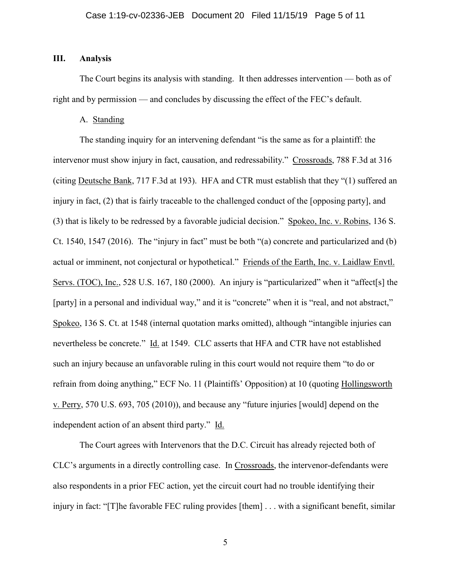## **III. Analysis**

The Court begins its analysis with standing. It then addresses intervention — both as of right and by permission — and concludes by discussing the effect of the FEC's default.

A. Standing

The standing inquiry for an intervening defendant "is the same as for a plaintiff: the intervenor must show injury in fact, causation, and redressability." Crossroads, 788 F.3d at 316 (citing Deutsche Bank, 717 F.3d at 193). HFA and CTR must establish that they "(1) suffered an injury in fact, (2) that is fairly traceable to the challenged conduct of the [opposing party], and (3) that is likely to be redressed by a favorable judicial decision." Spokeo, Inc. v. Robins, 136 S. Ct. 1540, 1547 (2016). The "injury in fact" must be both "(a) concrete and particularized and (b) actual or imminent, not conjectural or hypothetical." Friends of the Earth, Inc. v. Laidlaw Envtl. Servs. (TOC), Inc., 528 U.S. 167, 180 (2000). An injury is "particularized" when it "affect[s] the [party] in a personal and individual way," and it is "concrete" when it is "real, and not abstract," Spokeo, 136 S. Ct. at 1548 (internal quotation marks omitted), although "intangible injuries can nevertheless be concrete." Id. at 1549. CLC asserts that HFA and CTR have not established such an injury because an unfavorable ruling in this court would not require them "to do or refrain from doing anything," ECF No. 11 (Plaintiffs' Opposition) at 10 (quoting Hollingsworth v. Perry, 570 U.S. 693, 705 (2010)), and because any "future injuries [would] depend on the independent action of an absent third party." Id.

The Court agrees with Intervenors that the D.C. Circuit has already rejected both of CLC's arguments in a directly controlling case. In Crossroads, the intervenor-defendants were also respondents in a prior FEC action, yet the circuit court had no trouble identifying their injury in fact: "[T]he favorable FEC ruling provides [them] . . . with a significant benefit, similar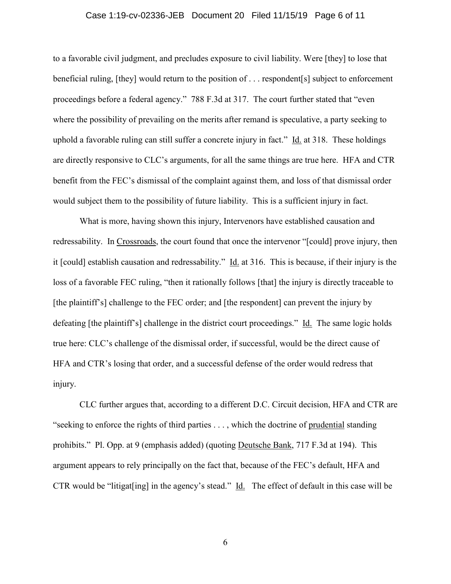#### Case 1:19-cv-02336-JEB Document 20 Filed 11/15/19 Page 6 of 11

to a favorable civil judgment, and precludes exposure to civil liability. Were [they] to lose that beneficial ruling, [they] would return to the position of . . . respondent[s] subject to enforcement proceedings before a federal agency." 788 F.3d at 317. The court further stated that "even where the possibility of prevailing on the merits after remand is speculative, a party seeking to uphold a favorable ruling can still suffer a concrete injury in fact." Id. at 318. These holdings are directly responsive to CLC's arguments, for all the same things are true here. HFA and CTR benefit from the FEC's dismissal of the complaint against them, and loss of that dismissal order would subject them to the possibility of future liability. This is a sufficient injury in fact.

What is more, having shown this injury, Intervenors have established causation and redressability. In Crossroads, the court found that once the intervenor "[could] prove injury, then it [could] establish causation and redressability." Id. at 316. This is because, if their injury is the loss of a favorable FEC ruling, "then it rationally follows [that] the injury is directly traceable to [the plaintiff's] challenge to the FEC order; and [the respondent] can prevent the injury by defeating [the plaintiff's] challenge in the district court proceedings." Id. The same logic holds true here: CLC's challenge of the dismissal order, if successful, would be the direct cause of HFA and CTR's losing that order, and a successful defense of the order would redress that injury.

CLC further argues that, according to a different D.C. Circuit decision, HFA and CTR are "seeking to enforce the rights of third parties . . . , which the doctrine of prudential standing prohibits." Pl. Opp. at 9 (emphasis added) (quoting Deutsche Bank, 717 F.3d at 194). This argument appears to rely principally on the fact that, because of the FEC's default, HFA and CTR would be "litigat [ing] in the agency's stead." Id. The effect of default in this case will be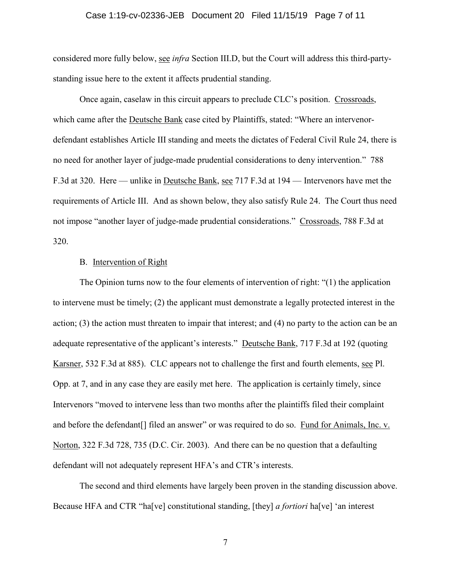### Case 1:19-cv-02336-JEB Document 20 Filed 11/15/19 Page 7 of 11

considered more fully below, see *infra* Section III.D, but the Court will address this third-partystanding issue here to the extent it affects prudential standing.

Once again, caselaw in this circuit appears to preclude CLC's position. Crossroads, which came after the Deutsche Bank case cited by Plaintiffs, stated: "Where an intervenordefendant establishes Article III standing and meets the dictates of Federal Civil Rule 24, there is no need for another layer of judge-made prudential considerations to deny intervention." 788 F.3d at 320. Here — unlike in Deutsche Bank, see 717 F.3d at 194 — Intervenors have met the requirements of Article III. And as shown below, they also satisfy Rule 24. The Court thus need not impose "another layer of judge-made prudential considerations." Crossroads, 788 F.3d at 320.

## B. Intervention of Right

The Opinion turns now to the four elements of intervention of right: "(1) the application to intervene must be timely; (2) the applicant must demonstrate a legally protected interest in the action; (3) the action must threaten to impair that interest; and (4) no party to the action can be an adequate representative of the applicant's interests." Deutsche Bank, 717 F.3d at 192 (quoting Karsner, 532 F.3d at 885). CLC appears not to challenge the first and fourth elements, see Pl. Opp. at 7, and in any case they are easily met here. The application is certainly timely, since Intervenors "moved to intervene less than two months after the plaintiffs filed their complaint and before the defendant[] filed an answer" or was required to do so. Fund for Animals, Inc. v. Norton, 322 F.3d 728, 735 (D.C. Cir. 2003). And there can be no question that a defaulting defendant will not adequately represent HFA's and CTR's interests.

The second and third elements have largely been proven in the standing discussion above. Because HFA and CTR "ha[ve] constitutional standing, [they] *a fortiori* ha[ve] 'an interest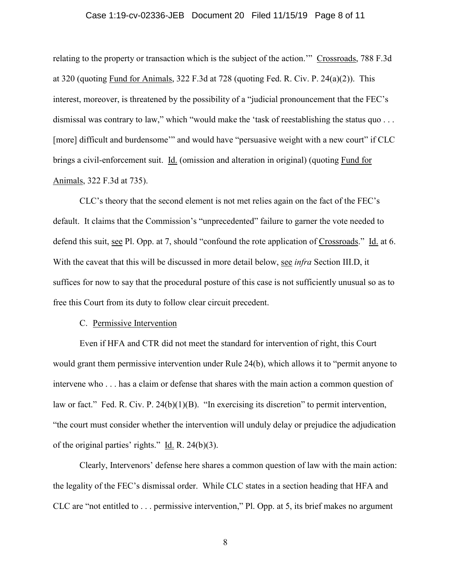### Case 1:19-cv-02336-JEB Document 20 Filed 11/15/19 Page 8 of 11

relating to the property or transaction which is the subject of the action." Crossroads, 788 F.3d at 320 (quoting Fund for Animals, 322 F.3d at 728 (quoting Fed. R. Civ. P. 24(a)(2)). This interest, moreover, is threatened by the possibility of a "judicial pronouncement that the FEC's dismissal was contrary to law," which "would make the 'task of reestablishing the status quo . . . [more] difficult and burdensome" and would have "persuasive weight with a new court" if CLC brings a civil-enforcement suit. Id. (omission and alteration in original) (quoting Fund for Animals, 322 F.3d at 735).

CLC's theory that the second element is not met relies again on the fact of the FEC's default. It claims that the Commission's "unprecedented" failure to garner the vote needed to defend this suit, see Pl. Opp. at 7, should "confound the rote application of Crossroads." Id. at 6. With the caveat that this will be discussed in more detail below, see *infra* Section III.D, it suffices for now to say that the procedural posture of this case is not sufficiently unusual so as to free this Court from its duty to follow clear circuit precedent.

#### C. Permissive Intervention

Even if HFA and CTR did not meet the standard for intervention of right, this Court would grant them permissive intervention under Rule 24(b), which allows it to "permit anyone to intervene who . . . has a claim or defense that shares with the main action a common question of law or fact." Fed. R. Civ. P. 24(b)(1)(B). "In exercising its discretion" to permit intervention, "the court must consider whether the intervention will unduly delay or prejudice the adjudication of the original parties' rights."  $\underline{Id}$ . R. 24(b)(3).

Clearly, Intervenors' defense here shares a common question of law with the main action: the legality of the FEC's dismissal order. While CLC states in a section heading that HFA and CLC are "not entitled to . . . permissive intervention," Pl. Opp. at 5, its brief makes no argument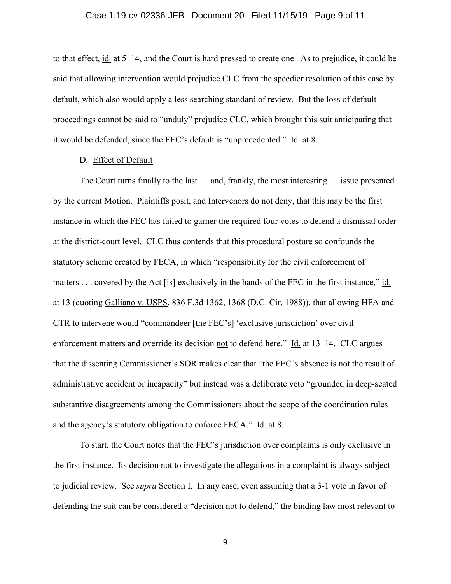### Case 1:19-cv-02336-JEB Document 20 Filed 11/15/19 Page 9 of 11

to that effect, id. at 5–14, and the Court is hard pressed to create one. As to prejudice, it could be said that allowing intervention would prejudice CLC from the speedier resolution of this case by default, which also would apply a less searching standard of review. But the loss of default proceedings cannot be said to "unduly" prejudice CLC, which brought this suit anticipating that it would be defended, since the FEC's default is "unprecedented." Id. at 8.

## D. Effect of Default

The Court turns finally to the last — and, frankly, the most interesting — issue presented by the current Motion. Plaintiffs posit, and Intervenors do not deny, that this may be the first instance in which the FEC has failed to garner the required four votes to defend a dismissal order at the district-court level. CLC thus contends that this procedural posture so confounds the statutory scheme created by FECA, in which "responsibility for the civil enforcement of matters . . . covered by the Act [is] exclusively in the hands of the FEC in the first instance," id. at 13 (quoting Galliano v. USPS, 836 F.3d 1362, 1368 (D.C. Cir. 1988)), that allowing HFA and CTR to intervene would "commandeer [the FEC's] 'exclusive jurisdiction' over civil enforcement matters and override its decision not to defend here." Id. at 13–14. CLC argues that the dissenting Commissioner's SOR makes clear that "the FEC's absence is not the result of administrative accident or incapacity" but instead was a deliberate veto "grounded in deep-seated substantive disagreements among the Commissioners about the scope of the coordination rules and the agency's statutory obligation to enforce FECA." Id. at 8.

To start, the Court notes that the FEC's jurisdiction over complaints is only exclusive in the first instance. Its decision not to investigate the allegations in a complaint is always subject to judicial review. See *supra* Section I. In any case, even assuming that a 3-1 vote in favor of defending the suit can be considered a "decision not to defend," the binding law most relevant to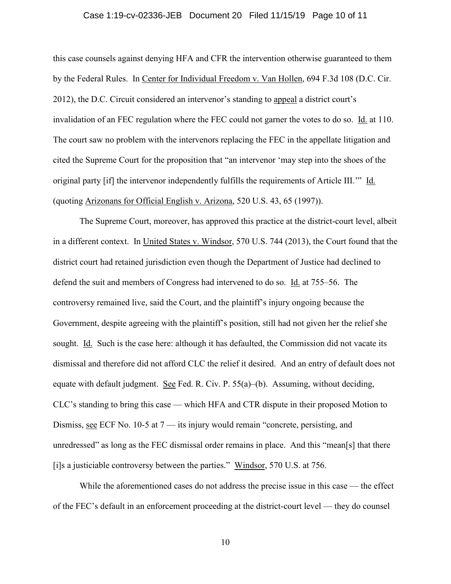#### Case 1:19-cv-02336-JEB Document 20 Filed 11/15/19 Page 10 of 11

this case counsels against denying HFA and CFR the intervention otherwise guaranteed to them by the Federal Rules. In Center for Individual Freedom v. Van Hollen, 694 F.3d 108 (D.C. Cir. 2012), the D.C. Circuit considered an intervenor's standing to appeal a district court's invalidation of an FEC regulation where the FEC could not garner the votes to do so. Id. at 110. The court saw no problem with the intervenors replacing the FEC in the appellate litigation and cited the Supreme Court for the proposition that "an intervenor 'may step into the shoes of the original party [if] the intervenor independently fulfills the requirements of Article III.'" Id. (quoting Arizonans for Official English v. Arizona, 520 U.S. 43, 65 (1997)).

The Supreme Court, moreover, has approved this practice at the district-court level, albeit in a different context. In United States v. Windsor, 570 U.S. 744 (2013), the Court found that the district court had retained jurisdiction even though the Department of Justice had declined to defend the suit and members of Congress had intervened to do so. Id. at 755–56. The controversy remained live, said the Court, and the plaintiff's injury ongoing because the Government, despite agreeing with the plaintiff's position, still had not given her the relief she sought. Id. Such is the case here: although it has defaulted, the Commission did not vacate its dismissal and therefore did not afford CLC the relief it desired. And an entry of default does not equate with default judgment. See Fed. R. Civ. P. 55(a)–(b). Assuming, without deciding, CLC's standing to bring this case — which HFA and CTR dispute in their proposed Motion to Dismiss, see ECF No. 10-5 at 7 — its injury would remain "concrete, persisting, and unredressed" as long as the FEC dismissal order remains in place. And this "mean[s] that there [i]s a justiciable controversy between the parties." Windsor, 570 U.S. at 756.

While the aforementioned cases do not address the precise issue in this case — the effect of the FEC's default in an enforcement proceeding at the district-court level — they do counsel